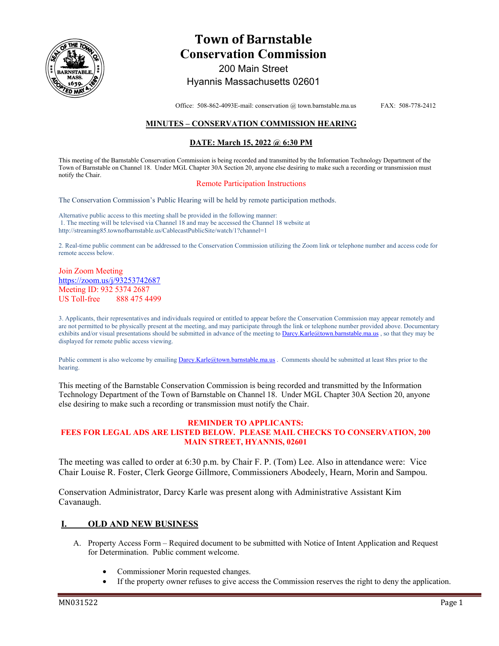

# **Town of Barnstable Conservation Commission**  200 Main Street

Hyannis Massachusetts 02601

Office: 508-862-4093E-mail: conservation @ town.barnstable.ma.us FAX: 508-778-2412

## **MINUTES – CONSERVATION COMMISSION HEARING**

## **DATE: March 15, 2022 @ 6:30 PM**

This meeting of the Barnstable Conservation Commission is being recorded and transmitted by the Information Technology Department of the Town of Barnstable on Channel 18. Under MGL Chapter 30A Section 20, anyone else desiring to make such a recording or transmission must notify the Chair.

#### Remote Participation Instructions

The Conservation Commission's Public Hearing will be held by remote participation methods.

Alternative public access to this meeting shall be provided in the following manner: 1. The meeting will be televised via Channel 18 and may be accessed the Channel 18 website at http://streaming85.townofbarnstable.us/CablecastPublicSite/watch/1?channel=1

2. Real-time public comment can be addressed to the Conservation Commission utilizing the Zoom link or telephone number and access code for remote access below.

Join Zoom Meeting https://zoom.us/j/93253742687 Meeting ID: 932 5374 2687 US Toll-free 888 475 4499

3. Applicants, their representatives and individuals required or entitled to appear before the Conservation Commission may appear remotely and are not permitted to be physically present at the meeting, and may participate through the link or telephone number provided above. Documentary exhibits and/or visual presentations should be submitted in advance of the meeting to Darcy.Karle@town.barnstable.ma.us, so that they may be displayed for remote public access viewing.

Public comment is also welcome by emailing Darcy.Karle@town.barnstable.ma.us . Comments should be submitted at least 8hrs prior to the hearing.

This meeting of the Barnstable Conservation Commission is being recorded and transmitted by the Information Technology Department of the Town of Barnstable on Channel 18. Under MGL Chapter 30A Section 20, anyone else desiring to make such a recording or transmission must notify the Chair.

#### **REMINDER TO APPLICANTS: FEES FOR LEGAL ADS ARE LISTED BELOW. PLEASE MAIL CHECKS TO CONSERVATION, 200 MAIN STREET, HYANNIS, 02601**

The meeting was called to order at 6:30 p.m. by Chair F. P. (Tom) Lee. Also in attendance were: Vice Chair Louise R. Foster, Clerk George Gillmore, Commissioners Abodeely, Hearn, Morin and Sampou.

Conservation Administrator, Darcy Karle was present along with Administrative Assistant Kim Cavanaugh.

### **I. OLD AND NEW BUSINESS**

- A. Property Access Form Required document to be submitted with Notice of Intent Application and Request for Determination. Public comment welcome.
	- Commissioner Morin requested changes.
	- If the property owner refuses to give access the Commission reserves the right to deny the application.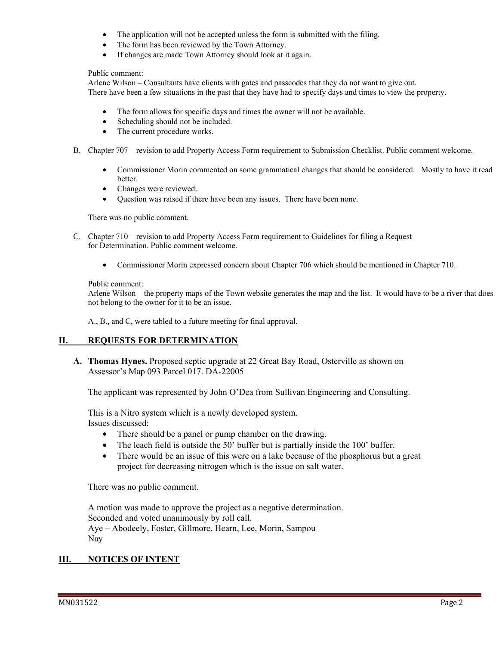- The application will not be accepted unless the form is submitted with the filing.
- The form has been reviewed by the Town Attorney.
- If changes are made Town Attorney should look at it again.

#### Public comment:

Arlene Wilson – Consultants have clients with gates and passcodes that they do not want to give out. There have been a few situations in the past that they have had to specify days and times to view the property.

- The form allows for specific days and times the owner will not be available.
- Scheduling should not be included.
- The current procedure works.
- B. Chapter 707 revision to add Property Access Form requirement to Submission Checklist. Public comment welcome.
	- Commissioner Morin commented on some grammatical changes that should be considered. Mostly to have it read better.
	- Changes were reviewed.
	- Question was raised if there have been any issues. There have been none.

There was no public comment.

- C. Chapter 710 revision to add Property Access Form requirement to Guidelines for filing a Request for Determination. Public comment welcome.
	- Commissioner Morin expressed concern about Chapter 706 which should be mentioned in Chapter 710.

### Public comment:

Arlene Wilson – the property maps of the Town website generates the map and the list. It would have to be a river that does not belong to the owner for it to be an issue.

A., B., and C, were tabled to a future meeting for final approval.

# **II. REQUESTS FOR DETERMINATION**

**A. Thomas Hynes.** Proposed septic upgrade at 22 Great Bay Road, Osterville as shown on Assessor's Map 093 Parcel 017. DA-22005

The applicant was represented by John O'Dea from Sullivan Engineering and Consulting.

This is a Nitro system which is a newly developed system. Issues discussed:

- There should be a panel or pump chamber on the drawing.
- The leach field is outside the 50' buffer but is partially inside the 100' buffer.
- There would be an issue of this were on a lake because of the phosphorus but a great project for decreasing nitrogen which is the issue on salt water.

There was no public comment.

A motion was made to approve the project as a negative determination. Seconded and voted unanimously by roll call. Aye – Abodeely, Foster, Gillmore, Hearn, Lee, Morin, Sampou Nay

# **III. NOTICES OF INTENT**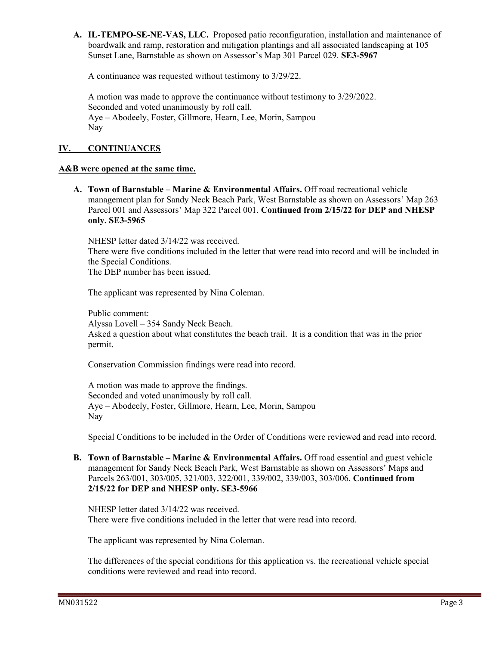**A. IL-TEMPO-SE-NE-VAS, LLC.** Proposed patio reconfiguration, installation and maintenance of boardwalk and ramp, restoration and mitigation plantings and all associated landscaping at 105 Sunset Lane, Barnstable as shown on Assessor's Map 301 Parcel 029. **SE3-5967** 

A continuance was requested without testimony to 3/29/22.

A motion was made to approve the continuance without testimony to 3/29/2022. Seconded and voted unanimously by roll call. Aye – Abodeely, Foster, Gillmore, Hearn, Lee, Morin, Sampou Nay

# **IV. CONTINUANCES**

## **A&B were opened at the same time.**

**A. Town of Barnstable – Marine & Environmental Affairs.** Off road recreational vehicle management plan for Sandy Neck Beach Park, West Barnstable as shown on Assessors' Map 263 Parcel 001 and Assessors' Map 322 Parcel 001. **Continued from 2/15/22 for DEP and NHESP only. SE3-5965** 

NHESP letter dated 3/14/22 was received.

There were five conditions included in the letter that were read into record and will be included in the Special Conditions.

The DEP number has been issued.

The applicant was represented by Nina Coleman.

Public comment: Alyssa Lovell – 354 Sandy Neck Beach. Asked a question about what constitutes the beach trail. It is a condition that was in the prior permit.

Conservation Commission findings were read into record.

A motion was made to approve the findings. Seconded and voted unanimously by roll call. Aye – Abodeely, Foster, Gillmore, Hearn, Lee, Morin, Sampou Nay

Special Conditions to be included in the Order of Conditions were reviewed and read into record.

**B. Town of Barnstable – Marine & Environmental Affairs.** Off road essential and guest vehicle management for Sandy Neck Beach Park, West Barnstable as shown on Assessors' Maps and Parcels 263/001, 303/005, 321/003, 322/001, 339/002, 339/003, 303/006. **Continued from 2/15/22 for DEP and NHESP only. SE3-5966** 

NHESP letter dated 3/14/22 was received. There were five conditions included in the letter that were read into record.

The applicant was represented by Nina Coleman.

The differences of the special conditions for this application vs. the recreational vehicle special conditions were reviewed and read into record.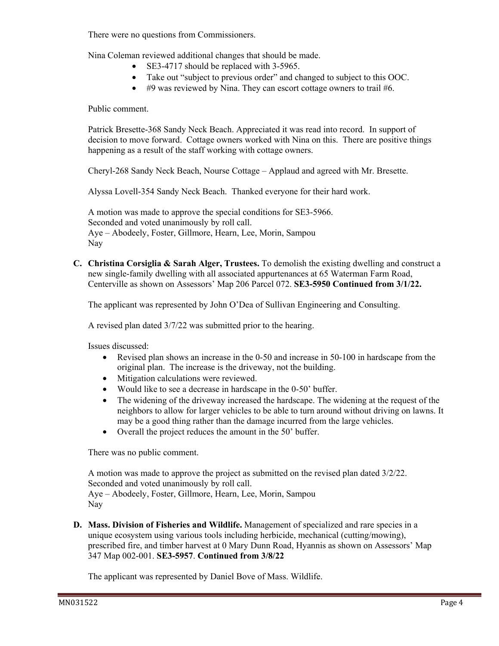There were no questions from Commissioners.

Nina Coleman reviewed additional changes that should be made.

- SE3-4717 should be replaced with 3-5965.
- Take out "subject to previous order" and changed to subject to this OOC.
- #9 was reviewed by Nina. They can escort cottage owners to trail #6.

Public comment.

Patrick Bresette-368 Sandy Neck Beach. Appreciated it was read into record. In support of decision to move forward. Cottage owners worked with Nina on this. There are positive things happening as a result of the staff working with cottage owners.

Cheryl-268 Sandy Neck Beach, Nourse Cottage – Applaud and agreed with Mr. Bresette.

Alyssa Lovell-354 Sandy Neck Beach. Thanked everyone for their hard work.

A motion was made to approve the special conditions for SE3-5966. Seconded and voted unanimously by roll call. Aye – Abodeely, Foster, Gillmore, Hearn, Lee, Morin, Sampou Nay

**C. Christina Corsiglia & Sarah Alger, Trustees.** To demolish the existing dwelling and construct a new single-family dwelling with all associated appurtenances at 65 Waterman Farm Road, Centerville as shown on Assessors' Map 206 Parcel 072. **SE3-5950 Continued from 3/1/22.** 

The applicant was represented by John O'Dea of Sullivan Engineering and Consulting.

A revised plan dated 3/7/22 was submitted prior to the hearing.

Issues discussed:

- Revised plan shows an increase in the 0-50 and increase in 50-100 in hardscape from the original plan. The increase is the driveway, not the building.
- Mitigation calculations were reviewed.
- Would like to see a decrease in hardscape in the 0-50' buffer.
- The widening of the driveway increased the hardscape. The widening at the request of the neighbors to allow for larger vehicles to be able to turn around without driving on lawns. It may be a good thing rather than the damage incurred from the large vehicles.
- Overall the project reduces the amount in the 50' buffer.

There was no public comment.

A motion was made to approve the project as submitted on the revised plan dated 3/2/22. Seconded and voted unanimously by roll call. Aye – Abodeely, Foster, Gillmore, Hearn, Lee, Morin, Sampou Nay

**D. Mass. Division of Fisheries and Wildlife.** Management of specialized and rare species in a unique ecosystem using various tools including herbicide, mechanical (cutting/mowing), prescribed fire, and timber harvest at 0 Mary Dunn Road, Hyannis as shown on Assessors' Map 347 Map 002-001. **SE3-5957**. **Continued from 3/8/22** 

The applicant was represented by Daniel Bove of Mass. Wildlife.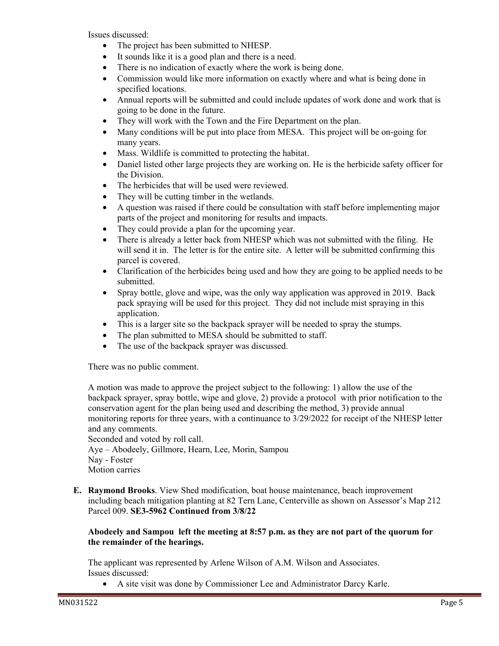Issues discussed:

- The project has been submitted to NHESP.
- It sounds like it is a good plan and there is a need.
- There is no indication of exactly where the work is being done.
- Commission would like more information on exactly where and what is being done in specified locations.
- Annual reports will be submitted and could include updates of work done and work that is going to be done in the future.
- They will work with the Town and the Fire Department on the plan.
- Many conditions will be put into place from MESA. This project will be on-going for many years.
- Mass. Wildlife is committed to protecting the habitat.
- Daniel listed other large projects they are working on. He is the herbicide safety officer for the Division.
- The herbicides that will be used were reviewed.
- They will be cutting timber in the wetlands.
- A question was raised if there could be consultation with staff before implementing major parts of the project and monitoring for results and impacts.
- They could provide a plan for the upcoming year.
- There is already a letter back from NHESP which was not submitted with the filing. He will send it in. The letter is for the entire site. A letter will be submitted confirming this parcel is covered.
- Clarification of the herbicides being used and how they are going to be applied needs to be submitted.
- Spray bottle, glove and wipe, was the only way application was approved in 2019. Back pack spraying will be used for this project. They did not include mist spraying in this application.
- This is a larger site so the backpack sprayer will be needed to spray the stumps.
- The plan submitted to MESA should be submitted to staff.
- The use of the backpack sprayer was discussed.

There was no public comment.

A motion was made to approve the project subject to the following: 1) allow the use of the backpack sprayer, spray bottle, wipe and glove, 2) provide a protocol with prior notification to the conservation agent for the plan being used and describing the method, 3) provide annual monitoring reports for three years, with a continuance to 3/29/2022 for receipt of the NHESP letter and any comments.

Seconded and voted by roll call. Aye – Abodeely, Gillmore, Hearn, Lee, Morin, Sampou Nay - Foster Motion carries

**E. Raymond Brooks**. View Shed modification, boat house maintenance, beach improvement including beach mitigation planting at 82 Tern Lane, Centerville as shown on Assessor's Map 212 Parcel 009. **SE3-5962 Continued from 3/8/22** 

# **Abodeely and Sampou left the meeting at 8:57 p.m. as they are not part of the quorum for the remainder of the hearings.**

The applicant was represented by Arlene Wilson of A.M. Wilson and Associates. Issues discussed:

• A site visit was done by Commissioner Lee and Administrator Darcy Karle.